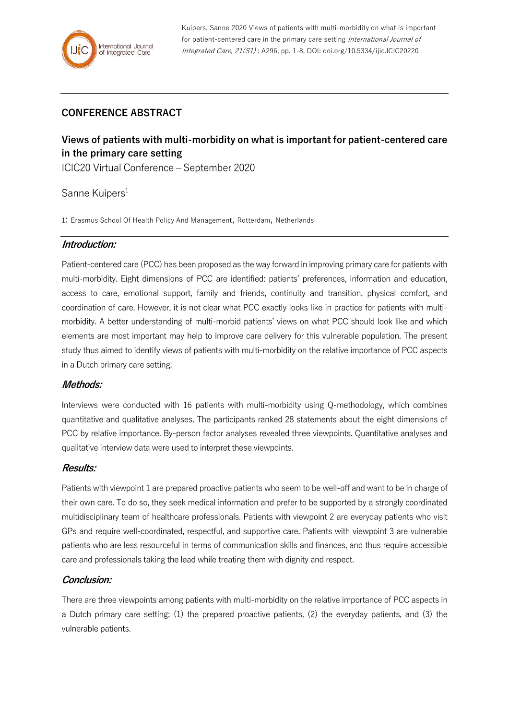Kuipers, Sanne 2020 Views of patients with multi-morbidity on what is important for patient-centered care in the primary care setting International Journal of Integrated Care, 21(S1) : A296, pp. 1-8, DOI: doi.org/10.5334/ijic.ICIC20220

## **CONFERENCE ABSTRACT**

# **Views of patients with multi-morbidity on what is important for patient-centered care in the primary care setting**

ICIC20 Virtual Conference – September 2020

## Sanne Kuipers<sup>1</sup>

1: Erasmus School Of Health Policy And Management, Rotterdam, Netherlands

#### **Introduction:**

Patient-centered care (PCC) has been proposed as the way forward in improving primary care for patients with multi-morbidity. Eight dimensions of PCC are identified: patients' preferences, information and education, access to care, emotional support, family and friends, continuity and transition, physical comfort, and coordination of care. However, it is not clear what PCC exactly looks like in practice for patients with multimorbidity. A better understanding of multi-morbid patients' views on what PCC should look like and which elements are most important may help to improve care delivery for this vulnerable population. The present study thus aimed to identify views of patients with multi-morbidity on the relative importance of PCC aspects in a Dutch primary care setting.

#### **Methods:**

Interviews were conducted with 16 patients with multi-morbidity using Q-methodology, which combines quantitative and qualitative analyses. The participants ranked 28 statements about the eight dimensions of PCC by relative importance. By-person factor analyses revealed three viewpoints. Quantitative analyses and qualitative interview data were used to interpret these viewpoints.

#### **Results:**

Patients with viewpoint 1 are prepared proactive patients who seem to be well-off and want to be in charge of their own care. To do so, they seek medical information and prefer to be supported by a strongly coordinated multidisciplinary team of healthcare professionals. Patients with viewpoint 2 are everyday patients who visit GPs and require well-coordinated, respectful, and supportive care. Patients with viewpoint 3 are vulnerable patients who are less resourceful in terms of communication skills and finances, and thus require accessible care and professionals taking the lead while treating them with dignity and respect.

#### **Conclusion:**

There are three viewpoints among patients with multi-morbidity on the relative importance of PCC aspects in a Dutch primary care setting; (1) the prepared proactive patients, (2) the everyday patients, and (3) the vulnerable patients.